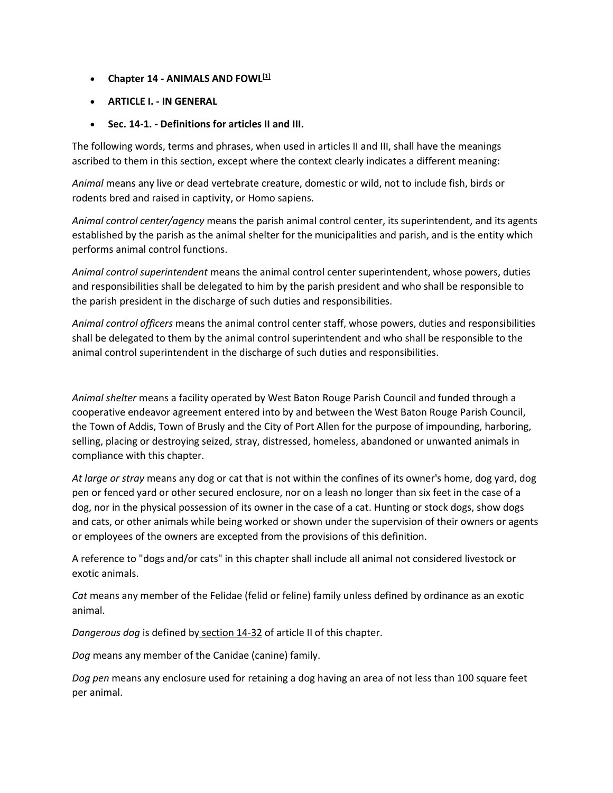- **Chapter 14 - ANIMALS AND FOWL[\[1\]](https://library.municode.com/#fn_9)**
- **ARTICLE I. - IN GENERAL**
- **Sec. 14-1. - Definitions for articles II and III.**

The following words, terms and phrases, when used in articles II and III, shall have the meanings ascribed to them in this section, except where the context clearly indicates a different meaning:

*Animal* means any live or dead vertebrate creature, domestic or wild, not to include fish, birds or rodents bred and raised in captivity, or Homo sapiens.

*Animal control center/agency* means the parish animal control center, its superintendent, and its agents established by the parish as the animal shelter for the municipalities and parish, and is the entity which performs animal control functions.

*Animal control superintendent* means the animal control center superintendent, whose powers, duties and responsibilities shall be delegated to him by the parish president and who shall be responsible to the parish president in the discharge of such duties and responsibilities.

*Animal control officers* means the animal control center staff, whose powers, duties and responsibilities shall be delegated to them by the animal control superintendent and who shall be responsible to the animal control superintendent in the discharge of such duties and responsibilities.

*Animal shelter* means a facility operated by West Baton Rouge Parish Council and funded through a cooperative endeavor agreement entered into by and between the West Baton Rouge Parish Council, the Town of Addis, Town of Brusly and the City of Port Allen for the purpose of impounding, harboring, selling, placing or destroying seized, stray, distressed, homeless, abandoned or unwanted animals in compliance with this chapter.

*At large or stray* means any dog or cat that is not within the confines of its owner's home, dog yard, dog pen or fenced yard or other secured enclosure, nor on a leash no longer than six feet in the case of a dog, nor in the physical possession of its owner in the case of a cat. Hunting or stock dogs, show dogs and cats, or other animals while being worked or shown under the supervision of their owners or agents or employees of the owners are excepted from the provisions of this definition.

A reference to "dogs and/or cats" in this chapter shall include all animal not considered livestock or exotic animals.

*Cat* means any member of the Felidae (felid or feline) family unless defined by ordinance as an exotic animal.

*Dangerous dog* is defined by [section 14-32](https://library.municode.com/la/west_baton_rouge_parish/codes/code_of_ordinances?nodeId=PTIICOOR_CH14ANFO_ARTIIDOCA_DIV1GE_S14-32DAVIDO) of article II of this chapter.

*Dog* means any member of the Canidae (canine) family.

*Dog pen* means any enclosure used for retaining a dog having an area of not less than 100 square feet per animal.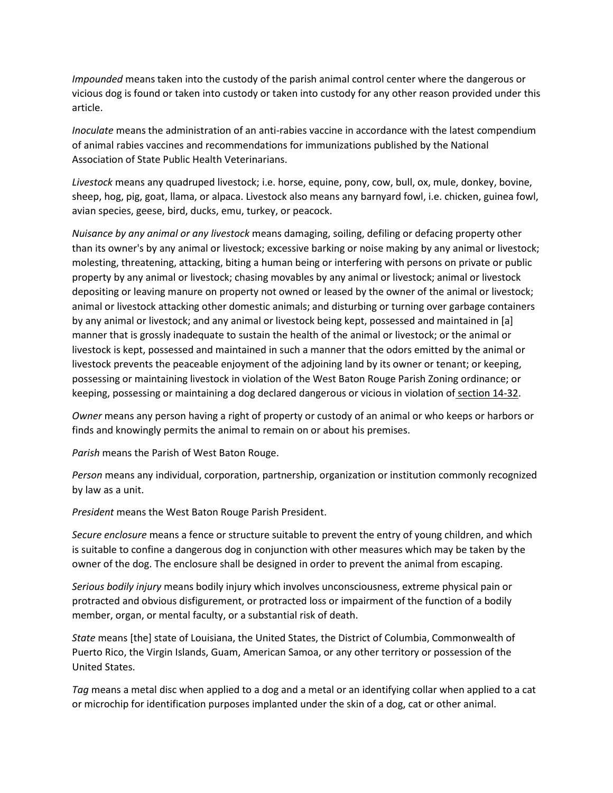*Impounded* means taken into the custody of the parish animal control center where the dangerous or vicious dog is found or taken into custody or taken into custody for any other reason provided under this article.

*Inoculate* means the administration of an anti-rabies vaccine in accordance with the latest compendium of animal rabies vaccines and recommendations for immunizations published by the National Association of State Public Health Veterinarians.

*Livestock* means any quadruped livestock; i.e. horse, equine, pony, cow, bull, ox, mule, donkey, bovine, sheep, hog, pig, goat, llama, or alpaca. Livestock also means any barnyard fowl, i.e. chicken, guinea fowl, avian species, geese, bird, ducks, emu, turkey, or peacock.

*Nuisance by any animal or any livestock* means damaging, soiling, defiling or defacing property other than its owner's by any animal or livestock; excessive barking or noise making by any animal or livestock; molesting, threatening, attacking, biting a human being or interfering with persons on private or public property by any animal or livestock; chasing movables by any animal or livestock; animal or livestock depositing or leaving manure on property not owned or leased by the owner of the animal or livestock; animal or livestock attacking other domestic animals; and disturbing or turning over garbage containers by any animal or livestock; and any animal or livestock being kept, possessed and maintained in [a] manner that is grossly inadequate to sustain the health of the animal or livestock; or the animal or livestock is kept, possessed and maintained in such a manner that the odors emitted by the animal or livestock prevents the peaceable enjoyment of the adjoining land by its owner or tenant; or keeping, possessing or maintaining livestock in violation of the West Baton Rouge Parish Zoning ordinance; or keeping, possessing or maintaining a dog declared dangerous or vicious in violation of [section 14-32.](https://library.municode.com/la/west_baton_rouge_parish/codes/code_of_ordinances?nodeId=PTIICOOR_CH14ANFO_ARTIIDOCA_DIV1GE_S14-32DAVIDO)

*Owner* means any person having a right of property or custody of an animal or who keeps or harbors or finds and knowingly permits the animal to remain on or about his premises.

*Parish* means the Parish of West Baton Rouge.

*Person* means any individual, corporation, partnership, organization or institution commonly recognized by law as a unit.

*President* means the West Baton Rouge Parish President.

*Secure enclosure* means a fence or structure suitable to prevent the entry of young children, and which is suitable to confine a dangerous dog in conjunction with other measures which may be taken by the owner of the dog. The enclosure shall be designed in order to prevent the animal from escaping.

*Serious bodily injury* means bodily injury which involves unconsciousness, extreme physical pain or protracted and obvious disfigurement, or protracted loss or impairment of the function of a bodily member, organ, or mental faculty, or a substantial risk of death.

*State* means [the] state of Louisiana, the United States, the District of Columbia, Commonwealth of Puerto Rico, the Virgin Islands, Guam, American Samoa, or any other territory or possession of the United States.

*Tag* means a metal disc when applied to a dog and a metal or an identifying collar when applied to a cat or microchip for identification purposes implanted under the skin of a dog, cat or other animal.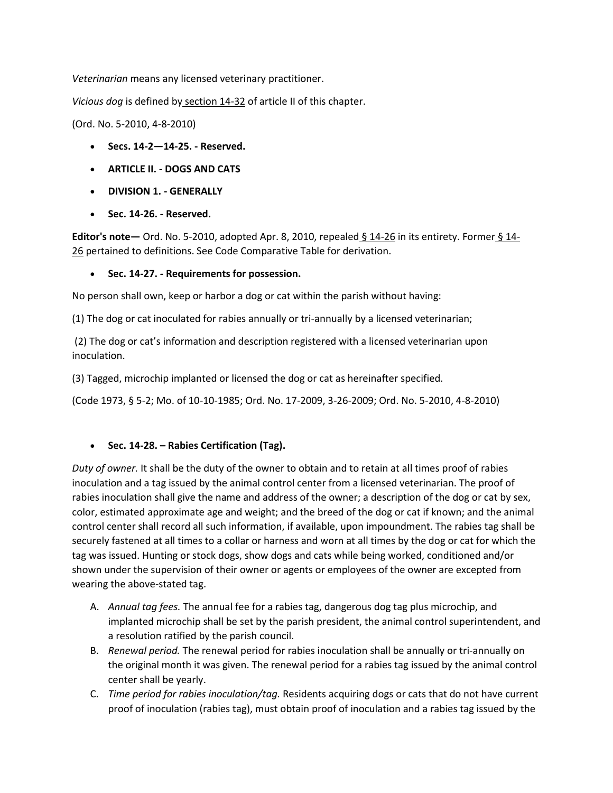*Veterinarian* means any licensed veterinary practitioner.

*Vicious dog* is defined by [section 14-32](https://library.municode.com/la/west_baton_rouge_parish/codes/code_of_ordinances?nodeId=PTIICOOR_CH14ANFO_ARTIIDOCA_DIV1GE_S14-32DAVIDO) of article II of this chapter.

(Ord. No. 5-2010, 4-8-2010)

- **Secs. 14-2—14-25. - Reserved.**
- **ARTICLE II. - DOGS AND CATS**
- **DIVISION 1. - GENERALLY**
- **Sec. 14-26. - Reserved.**

**Editor's note—** Ord. No. 5-2010, adopted Apr. 8, 2010, repealed [§ 14-26](https://library.municode.com/la/west_baton_rouge_parish/codes/code_of_ordinances?nodeId=PTIICOOR_CH14ANFO_ARTIIDOCA_DIV1GE_S14-26RE) in its entirety. Former [§ 14-](https://library.municode.com/la/west_baton_rouge_parish/codes/code_of_ordinances?nodeId=PTIICOOR_CH14ANFO_ARTIIDOCA_DIV1GE_S14-26RE) [26](https://library.municode.com/la/west_baton_rouge_parish/codes/code_of_ordinances?nodeId=PTIICOOR_CH14ANFO_ARTIIDOCA_DIV1GE_S14-26RE) pertained to definitions. See Code Comparative Table for derivation.

### **Sec. 14-27. - Requirements for possession.**

No person shall own, keep or harbor a dog or cat within the parish without having:

(1) The dog or cat inoculated for rabies annually or tri-annually by a licensed veterinarian;

(2) The dog or cat's information and description registered with a licensed veterinarian upon inoculation.

(3) Tagged, microchip implanted or licensed the dog or cat as hereinafter specified.

(Code 1973, § 5-2; Mo. of 10-10-1985; Ord. No. 17-2009, 3-26-2009; Ord. No. 5-2010, 4-8-2010)

### **Sec. 14-28. – Rabies Certification (Tag).**

*Duty of owner.* It shall be the duty of the owner to obtain and to retain at all times proof of rabies inoculation and a tag issued by the animal control center from a licensed veterinarian. The proof of rabies inoculation shall give the name and address of the owner; a description of the dog or cat by sex, color, estimated approximate age and weight; and the breed of the dog or cat if known; and the animal control center shall record all such information, if available, upon impoundment. The rabies tag shall be securely fastened at all times to a collar or harness and worn at all times by the dog or cat for which the tag was issued. Hunting or stock dogs, show dogs and cats while being worked, conditioned and/or shown under the supervision of their owner or agents or employees of the owner are excepted from wearing the above-stated tag.

- A. *Annual tag fees.* The annual fee for a rabies tag, dangerous dog tag plus microchip, and implanted microchip shall be set by the parish president, the animal control superintendent, and a resolution ratified by the parish council.
- B. *Renewal period.* The renewal period for rabies inoculation shall be annually or tri-annually on the original month it was given. The renewal period for a rabies tag issued by the animal control center shall be yearly.
- C. *Time period for rabies inoculation/tag.* Residents acquiring dogs or cats that do not have current proof of inoculation (rabies tag), must obtain proof of inoculation and a rabies tag issued by the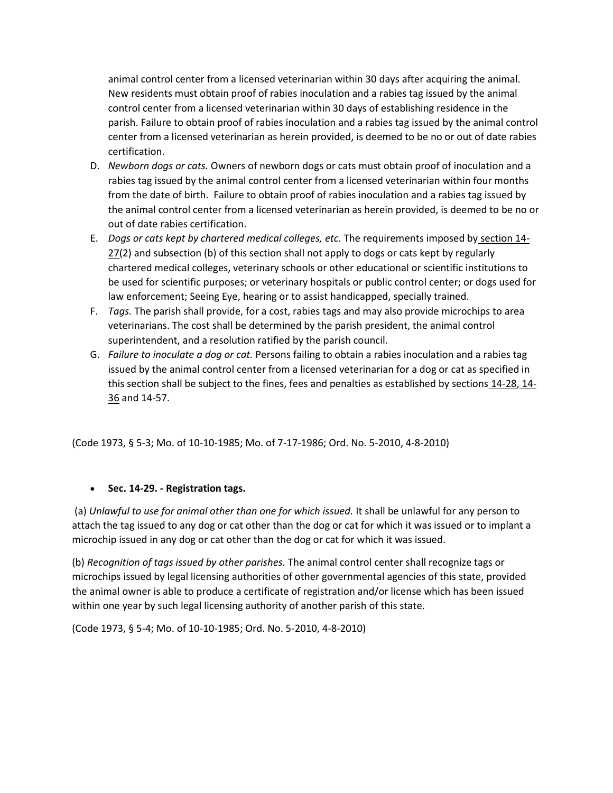animal control center from a licensed veterinarian within 30 days after acquiring the animal. New residents must obtain proof of rabies inoculation and a rabies tag issued by the animal control center from a licensed veterinarian within 30 days of establishing residence in the parish. Failure to obtain proof of rabies inoculation and a rabies tag issued by the animal control center from a licensed veterinarian as herein provided, is deemed to be no or out of date rabies certification.

- D. *Newborn dogs or cats.* Owners of newborn dogs or cats must obtain proof of inoculation and a rabies tag issued by the animal control center from a licensed veterinarian within four months from the date of birth. Failure to obtain proof of rabies inoculation and a rabies tag issued by the animal control center from a licensed veterinarian as herein provided, is deemed to be no or out of date rabies certification.
- E. *Dogs or cats kept by chartered medical colleges, etc.* The requirements imposed by [section 14-](https://library.municode.com/la/west_baton_rouge_parish/codes/code_of_ordinances?nodeId=PTIICOOR_CH14ANFO_ARTIIDOCA_DIV1GE_S14-27REPO)  $27(2)$  $27(2)$  and subsection (b) of this section shall not apply to dogs or cats kept by regularly chartered medical colleges, veterinary schools or other educational or scientific institutions to be used for scientific purposes; or veterinary hospitals or public control center; or dogs used for law enforcement; Seeing Eye, hearing or to assist handicapped, specially trained.
- F. *Tags.* The parish shall provide, for a cost, rabies tags and may also provide microchips to area veterinarians. The cost shall be determined by the parish president, the animal control superintendent, and a resolution ratified by the parish council.
- G. *Failure to inoculate a dog or cat.* Persons failing to obtain a rabies inoculation and a rabies tag issued by the animal control center from a licensed veterinarian for a dog or cat as specified in this section shall be subject to the fines, fees and penalties as established by sections [14-28,](https://library.municode.com/la/west_baton_rouge_parish/codes/code_of_ordinances?nodeId=PTIICOOR_CH14ANFO_ARTIIDOCA_DIV1GE_S14-28RE) [14-](https://library.municode.com/la/west_baton_rouge_parish/codes/code_of_ordinances?nodeId=PTIICOOR_CH14ANFO_ARTIIDOCA_DIV1GE_S14-36PE) [36](https://library.municode.com/la/west_baton_rouge_parish/codes/code_of_ordinances?nodeId=PTIICOOR_CH14ANFO_ARTIIDOCA_DIV1GE_S14-36PE) and 14-57.

(Code 1973, § 5-3; Mo. of 10-10-1985; Mo. of 7-17-1986; Ord. No. 5-2010, 4-8-2010)

## **Sec. 14-29. - Registration tags.**

(a) *Unlawful to use for animal other than one for which issued.* It shall be unlawful for any person to attach the tag issued to any dog or cat other than the dog or cat for which it was issued or to implant a microchip issued in any dog or cat other than the dog or cat for which it was issued.

(b) *Recognition of tags issued by other parishes.* The animal control center shall recognize tags or microchips issued by legal licensing authorities of other governmental agencies of this state, provided the animal owner is able to produce a certificate of registration and/or license which has been issued within one year by such legal licensing authority of another parish of this state.

(Code 1973, § 5-4; Mo. of 10-10-1985; Ord. No. 5-2010, 4-8-2010)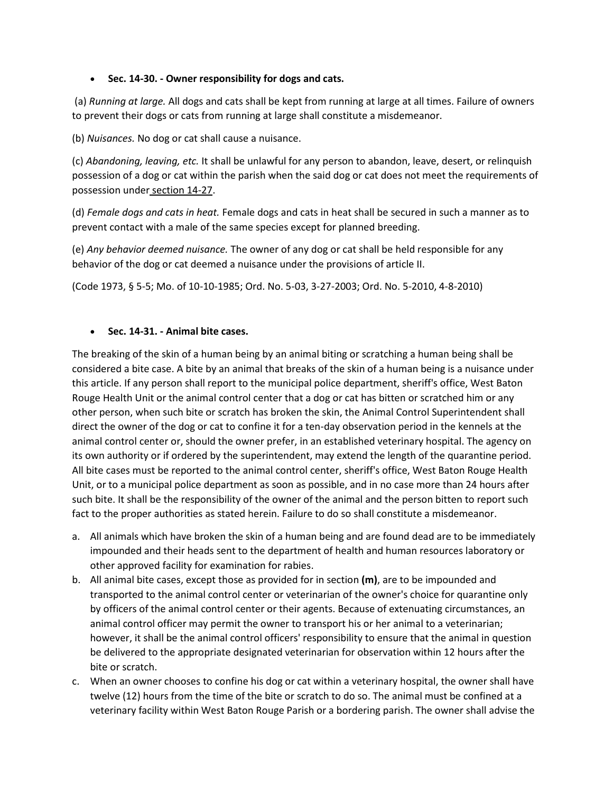## **Sec. 14-30. - Owner responsibility for dogs and cats.**

(a) *Running at large.* All dogs and cats shall be kept from running at large at all times. Failure of owners to prevent their dogs or cats from running at large shall constitute a misdemeanor.

(b) *Nuisances.* No dog or cat shall cause a nuisance.

(c) *Abandoning, leaving, etc.* It shall be unlawful for any person to abandon, leave, desert, or relinquish possession of a dog or cat within the parish when the said dog or cat does not meet the requirements of possession under [section 14-27.](https://library.municode.com/la/west_baton_rouge_parish/codes/code_of_ordinances?nodeId=PTIICOOR_CH14ANFO_ARTIIDOCA_DIV1GE_S14-27REPO)

(d) *Female dogs and cats in heat.* Female dogs and cats in heat shall be secured in such a manner as to prevent contact with a male of the same species except for planned breeding.

(e) *Any behavior deemed nuisance.* The owner of any dog or cat shall be held responsible for any behavior of the dog or cat deemed a nuisance under the provisions of article II.

(Code 1973, § 5-5; Mo. of 10-10-1985; Ord. No. 5-03, 3-27-2003; Ord. No. 5-2010, 4-8-2010)

## **Sec. 14-31. - Animal bite cases.**

The breaking of the skin of a human being by an animal biting or scratching a human being shall be considered a bite case. A bite by an animal that breaks of the skin of a human being is a nuisance under this article. If any person shall report to the municipal police department, sheriff's office, West Baton Rouge Health Unit or the animal control center that a dog or cat has bitten or scratched him or any other person, when such bite or scratch has broken the skin, the Animal Control Superintendent shall direct the owner of the dog or cat to confine it for a ten-day observation period in the kennels at the animal control center or, should the owner prefer, in an established veterinary hospital. The agency on its own authority or if ordered by the superintendent, may extend the length of the quarantine period. All bite cases must be reported to the animal control center, sheriff's office, West Baton Rouge Health Unit, or to a municipal police department as soon as possible, and in no case more than 24 hours after such bite. It shall be the responsibility of the owner of the animal and the person bitten to report such fact to the proper authorities as stated herein. Failure to do so shall constitute a misdemeanor.

- a. All animals which have broken the skin of a human being and are found dead are to be immediately impounded and their heads sent to the department of health and human resources laboratory or other approved facility for examination for rabies.
- b. All animal bite cases, except those as provided for in section **(m)**, are to be impounded and transported to the animal control center or veterinarian of the owner's choice for quarantine only by officers of the animal control center or their agents. Because of extenuating circumstances, an animal control officer may permit the owner to transport his or her animal to a veterinarian; however, it shall be the animal control officers' responsibility to ensure that the animal in question be delivered to the appropriate designated veterinarian for observation within 12 hours after the bite or scratch.
- c. When an owner chooses to confine his dog or cat within a veterinary hospital, the owner shall have twelve (12) hours from the time of the bite or scratch to do so. The animal must be confined at a veterinary facility within West Baton Rouge Parish or a bordering parish. The owner shall advise the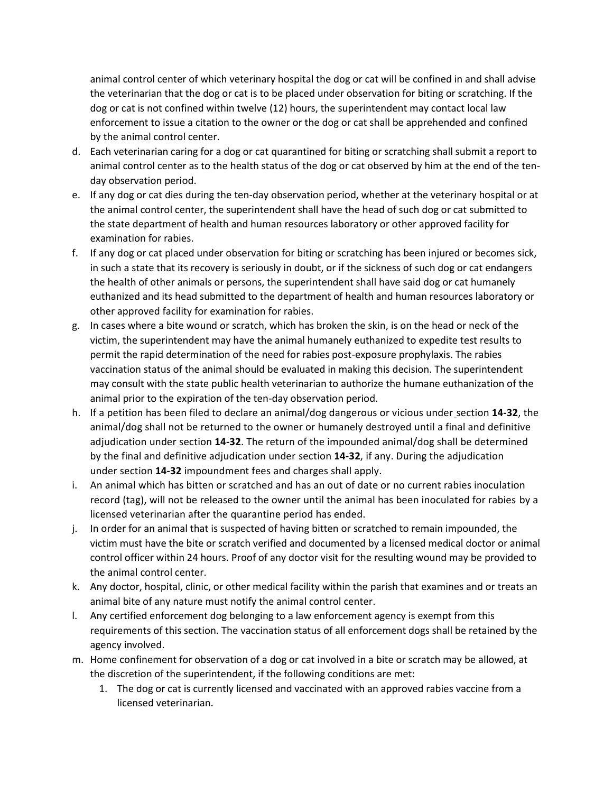animal control center of which veterinary hospital the dog or cat will be confined in and shall advise the veterinarian that the dog or cat is to be placed under observation for biting or scratching. If the dog or cat is not confined within twelve (12) hours, the superintendent may contact local law enforcement to issue a citation to the owner or the dog or cat shall be apprehended and confined by the animal control center.

- d. Each veterinarian caring for a dog or cat quarantined for biting or scratching shall submit a report to animal control center as to the health status of the dog or cat observed by him at the end of the tenday observation period.
- e. If any dog or cat dies during the ten-day observation period, whether at the veterinary hospital or at the animal control center, the superintendent shall have the head of such dog or cat submitted to the state department of health and human resources laboratory or other approved facility for examination for rabies.
- f. If any dog or cat placed under observation for biting or scratching has been injured or becomes sick, in such a state that its recovery is seriously in doubt, or if the sickness of such dog or cat endangers the health of other animals or persons, the superintendent shall have said dog or cat humanely euthanized and its head submitted to the department of health and human resources laboratory or other approved facility for examination for rabies.
- g. In cases where a bite wound or scratch, which has broken the skin, is on the head or neck of the victim, the superintendent may have the animal humanely euthanized to expedite test results to permit the rapid determination of the need for rabies post-exposure prophylaxis. The rabies vaccination status of the animal should be evaluated in making this decision. The superintendent may consult with the state public health veterinarian to authorize the humane euthanization of the animal prior to the expiration of the ten-day observation period.
- h. If a petition has been filed to declare an animal/dog dangerous or vicious under [section](https://library.municode.com/la/west_baton_rouge_parish/codes/code_of_ordinances?nodeId=PTIICOOR_CH14ANFO_ARTIIDOCA_DIV1GE_S14-32DAVIDO) **14-32**, the animal/dog shall not be returned to the owner or humanely destroyed until a final and definitive adjudication under [section](https://library.municode.com/la/west_baton_rouge_parish/codes/code_of_ordinances?nodeId=PTIICOOR_CH14ANFO_ARTIIDOCA_DIV1GE_S14-32DAVIDO) **14-32**. The return of the impounded animal/dog shall be determined by the final and definitive adjudication under [section](https://library.municode.com/la/west_baton_rouge_parish/codes/code_of_ordinances?nodeId=PTIICOOR_CH14ANFO_ARTIIDOCA_DIV1GE_S14-32DAVIDO) **14-32**, if any. During the adjudication under [section](https://library.municode.com/la/west_baton_rouge_parish/codes/code_of_ordinances?nodeId=PTIICOOR_CH14ANFO_ARTIIDOCA_DIV1GE_S14-32DAVIDO) **14-32** impoundment fees and charges shall apply.
- i. An animal which has bitten or scratched and has an out of date or no current rabies inoculation record (tag), will not be released to the owner until the animal has been inoculated for rabies by a licensed veterinarian after the quarantine period has ended.
- j. In order for an animal that is suspected of having bitten or scratched to remain impounded, the victim must have the bite or scratch verified and documented by a licensed medical doctor or animal control officer within 24 hours. Proof of any doctor visit for the resulting wound may be provided to the animal control center.
- k. Any doctor, hospital, clinic, or other medical facility within the parish that examines and or treats an animal bite of any nature must notify the animal control center.
- l. Any certified enforcement dog belonging to a law enforcement agency is exempt from this requirements of this section. The vaccination status of all enforcement dogs shall be retained by the agency involved.
- m. Home confinement for observation of a dog or cat involved in a bite or scratch may be allowed, at the discretion of the superintendent, if the following conditions are met:
	- 1. The dog or cat is currently licensed and vaccinated with an approved rabies vaccine from a licensed veterinarian.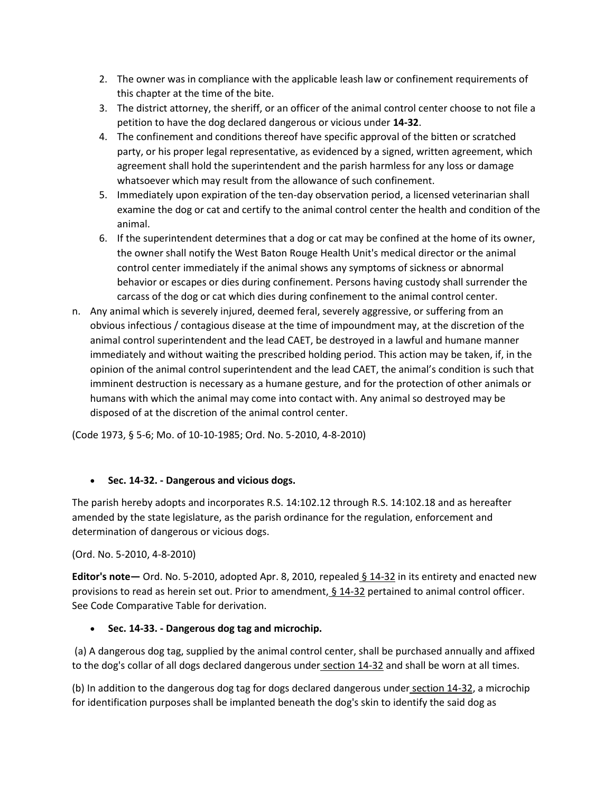- 2. The owner was in compliance with the applicable leash law or confinement requirements of this chapter at the time of the bite.
- 3. The district attorney, the sheriff, or an officer of the animal control center choose to not file a petition to have the dog declared dangerous or vicious under **14-32**.
- 4. The confinement and conditions thereof have specific approval of the bitten or scratched party, or his proper legal representative, as evidenced by a signed, written agreement, which agreement shall hold the superintendent and the parish harmless for any loss or damage whatsoever which may result from the allowance of such confinement.
- 5. Immediately upon expiration of the ten-day observation period, a licensed veterinarian shall examine the dog or cat and certify to the animal control center the health and condition of the animal.
- 6. If the superintendent determines that a dog or cat may be confined at the home of its owner, the owner shall notify the West Baton Rouge Health Unit's medical director or the animal control center immediately if the animal shows any symptoms of sickness or abnormal behavior or escapes or dies during confinement. Persons having custody shall surrender the carcass of the dog or cat which dies during confinement to the animal control center.
- n. Any animal which is severely injured, deemed feral, severely aggressive, or suffering from an obvious infectious / contagious disease at the time of impoundment may, at the discretion of the animal control superintendent and the lead CAET, be destroyed in a lawful and humane manner immediately and without waiting the prescribed holding period. This action may be taken, if, in the opinion of the animal control superintendent and the lead CAET, the animal's condition is such that imminent destruction is necessary as a humane gesture, and for the protection of other animals or humans with which the animal may come into contact with. Any animal so destroyed may be disposed of at the discretion of the animal control center.

(Code 1973, § 5-6; Mo. of 10-10-1985; Ord. No. 5-2010, 4-8-2010)

## **Sec. 14-32. - Dangerous and vicious dogs.**

The parish hereby adopts and incorporates R.S. 14:102.12 through R.S. 14:102.18 and as hereafter amended by the state legislature, as the parish ordinance for the regulation, enforcement and determination of dangerous or vicious dogs.

### (Ord. No. 5-2010, 4-8-2010)

**Editor's note—** Ord. No. 5-2010, adopted Apr. 8, 2010, repealed [§ 14-32](https://library.municode.com/la/west_baton_rouge_parish/codes/code_of_ordinances?nodeId=PTIICOOR_CH14ANFO_ARTIIDOCA_DIV1GE_S14-32DAVIDO) in its entirety and enacted new provisions to read as herein set out. Prior to amendment, [§ 14-32](https://library.municode.com/la/west_baton_rouge_parish/codes/code_of_ordinances?nodeId=PTIICOOR_CH14ANFO_ARTIIDOCA_DIV1GE_S14-32DAVIDO) pertained to animal control officer. See Code Comparative Table for derivation.

## **Sec. 14-33. - Dangerous dog tag and microchip.**

(a) A dangerous dog tag, supplied by the animal control center, shall be purchased annually and affixed to the dog's collar of all dogs declared dangerous under [section 14-32](https://library.municode.com/la/west_baton_rouge_parish/codes/code_of_ordinances?nodeId=PTIICOOR_CH14ANFO_ARTIIDOCA_DIV1GE_S14-32DAVIDO) and shall be worn at all times.

(b) In addition to the dangerous dog tag for dogs declared dangerous under [section 14-32,](https://library.municode.com/la/west_baton_rouge_parish/codes/code_of_ordinances?nodeId=PTIICOOR_CH14ANFO_ARTIIDOCA_DIV1GE_S14-32DAVIDO) a microchip for identification purposes shall be implanted beneath the dog's skin to identify the said dog as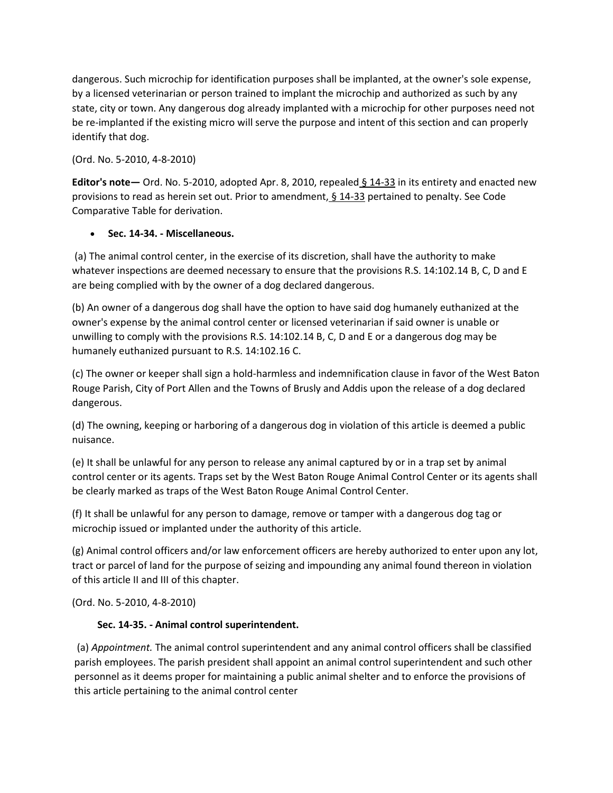dangerous. Such microchip for identification purposes shall be implanted, at the owner's sole expense, by a licensed veterinarian or person trained to implant the microchip and authorized as such by any state, city or town. Any dangerous dog already implanted with a microchip for other purposes need not be re-implanted if the existing micro will serve the purpose and intent of this section and can properly identify that dog.

(Ord. No. 5-2010, 4-8-2010)

**Editor's note—** Ord. No. 5-2010, adopted Apr. 8, 2010, repealed [§ 14-33](https://library.municode.com/la/west_baton_rouge_parish/codes/code_of_ordinances?nodeId=PTIICOOR_CH14ANFO_ARTIIDOCA_DIV1GE_S14-33DADOTAMICH) in its entirety and enacted new provisions to read as herein set out. Prior to amendment,  $\underline{S}$  14-33 pertained to penalty. See Code Comparative Table for derivation.

## **Sec. 14-34. - Miscellaneous.**

(a) The animal control center, in the exercise of its discretion, shall have the authority to make whatever inspections are deemed necessary to ensure that the provisions R.S. 14:102.14 B, C, D and E are being complied with by the owner of a dog declared dangerous.

(b) An owner of a dangerous dog shall have the option to have said dog humanely euthanized at the owner's expense by the animal control center or licensed veterinarian if said owner is unable or unwilling to comply with the provisions R.S. 14:102.14 B, C, D and E or a dangerous dog may be humanely euthanized pursuant to R.S. 14:102.16 C.

(c) The owner or keeper shall sign a hold-harmless and indemnification clause in favor of the West Baton Rouge Parish, City of Port Allen and the Towns of Brusly and Addis upon the release of a dog declared dangerous.

(d) The owning, keeping or harboring of a dangerous dog in violation of this article is deemed a public nuisance.

(e) It shall be unlawful for any person to release any animal captured by or in a trap set by animal control center or its agents. Traps set by the West Baton Rouge Animal Control Center or its agents shall be clearly marked as traps of the West Baton Rouge Animal Control Center.

(f) It shall be unlawful for any person to damage, remove or tamper with a dangerous dog tag or microchip issued or implanted under the authority of this article.

(g) Animal control officers and/or law enforcement officers are hereby authorized to enter upon any lot, tract or parcel of land for the purpose of seizing and impounding any animal found thereon in violation of this article II and III of this chapter.

(Ord. No. 5-2010, 4-8-2010)

## **Sec. 14-35. - Animal control superintendent.**

(a) *Appointment.* The animal control superintendent and any animal control officers shall be classified parish employees. The parish president shall appoint an animal control superintendent and such other personnel as it deems proper for maintaining a public animal shelter and to enforce the provisions of this article pertaining to the animal control center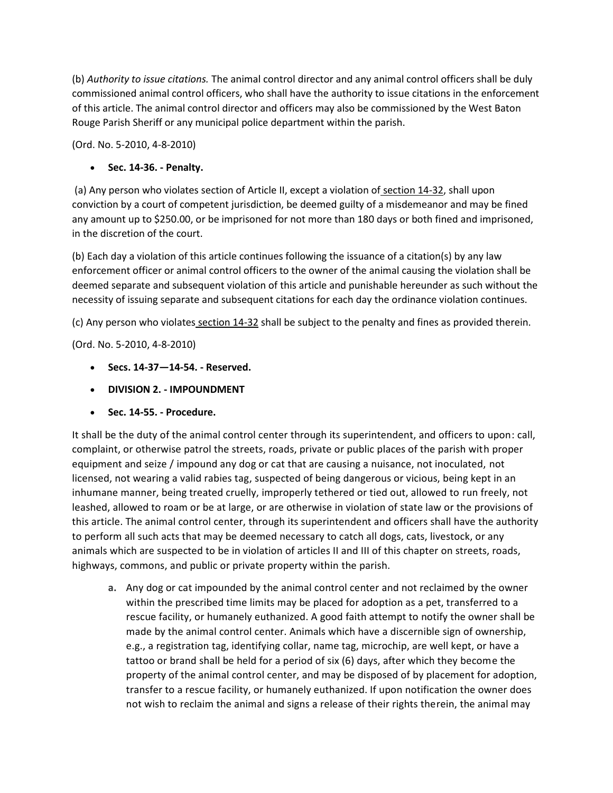(b) *Authority to issue citations.* The animal control director and any animal control officers shall be duly commissioned animal control officers, who shall have the authority to issue citations in the enforcement of this article. The animal control director and officers may also be commissioned by the West Baton Rouge Parish Sheriff or any municipal police department within the parish.

(Ord. No. 5-2010, 4-8-2010)

# **Sec. 14-36. - Penalty.**

(a) Any person who violates section of Article II, except a violation of [section 14-32,](https://library.municode.com/la/west_baton_rouge_parish/codes/code_of_ordinances?nodeId=PTIICOOR_CH14ANFO_ARTIIDOCA_DIV1GE_S14-32DAVIDO) shall upon conviction by a court of competent jurisdiction, be deemed guilty of a misdemeanor and may be fined any amount up to \$250.00, or be imprisoned for not more than 180 days or both fined and imprisoned, in the discretion of the court.

(b) Each day a violation of this article continues following the issuance of a citation(s) by any law enforcement officer or animal control officers to the owner of the animal causing the violation shall be deemed separate and subsequent violation of this article and punishable hereunder as such without the necessity of issuing separate and subsequent citations for each day the ordinance violation continues.

(c) Any person who violates [section 14-32](https://library.municode.com/la/west_baton_rouge_parish/codes/code_of_ordinances?nodeId=PTIICOOR_CH14ANFO_ARTIIDOCA_DIV1GE_S14-32DAVIDO) shall be subject to the penalty and fines as provided therein.

(Ord. No. 5-2010, 4-8-2010)

- **Secs. 14-37—14-54. - Reserved.**
- **DIVISION 2. - IMPOUNDMENT**
- **Sec. 14-55. - Procedure.**

It shall be the duty of the animal control center through its superintendent, and officers to upon: call, complaint, or otherwise patrol the streets, roads, private or public places of the parish with proper equipment and seize / impound any dog or cat that are causing a nuisance, not inoculated, not licensed, not wearing a valid rabies tag, suspected of being dangerous or vicious, being kept in an inhumane manner, being treated cruelly, improperly tethered or tied out, allowed to run freely, not leashed, allowed to roam or be at large, or are otherwise in violation of state law or the provisions of this article. The animal control center, through its superintendent and officers shall have the authority to perform all such acts that may be deemed necessary to catch all dogs, cats, livestock, or any animals which are suspected to be in violation of articles II and III of this chapter on streets, roads, highways, commons, and public or private property within the parish.

**a.** Any dog or cat impounded by the animal control center and not reclaimed by the owner within the prescribed time limits may be placed for adoption as a pet, transferred to a rescue facility, or humanely euthanized. A good faith attempt to notify the owner shall be made by the animal control center. Animals which have a discernible sign of ownership, e.g., a registration tag, identifying collar, name tag, microchip, are well kept, or have a tattoo or brand shall be held for a period of six (6) days, after which they become the property of the animal control center, and may be disposed of by placement for adoption, transfer to a rescue facility, or humanely euthanized. If upon notification the owner does not wish to reclaim the animal and signs a release of their rights therein, the animal may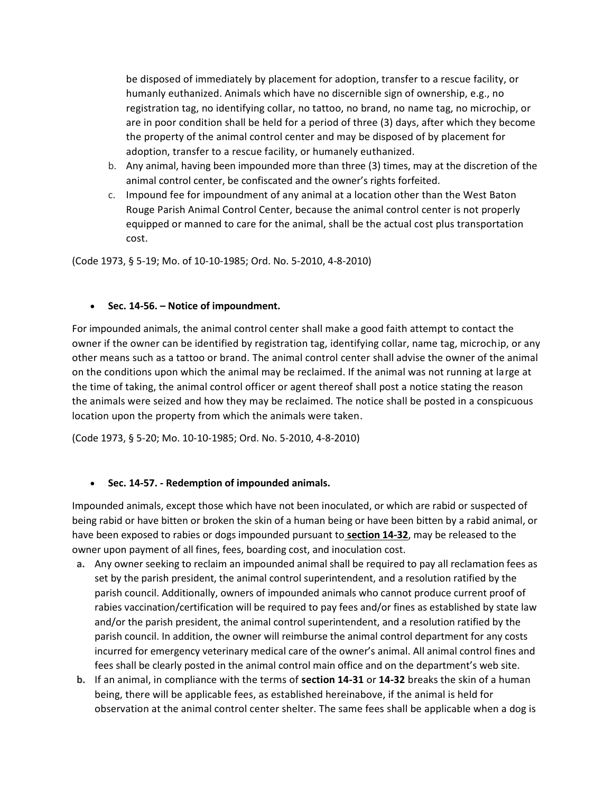be disposed of immediately by placement for adoption, transfer to a rescue facility, or humanly euthanized. Animals which have no discernible sign of ownership, e.g., no registration tag, no identifying collar, no tattoo, no brand, no name tag, no microchip, or are in poor condition shall be held for a period of three (3) days, after which they become the property of the animal control center and may be disposed of by placement for adoption, transfer to a rescue facility, or humanely euthanized.

- b. Any animal, having been impounded more than three (3) times, may at the discretion of the animal control center, be confiscated and the owner's rights forfeited.
- c. Impound fee for impoundment of any animal at a location other than the West Baton Rouge Parish Animal Control Center, because the animal control center is not properly equipped or manned to care for the animal, shall be the actual cost plus transportation cost.

(Code 1973, § 5-19; Mo. of 10-10-1985; Ord. No. 5-2010, 4-8-2010)

#### **Sec. 14-56. – Notice of impoundment.**

For impounded animals, the animal control center shall make a good faith attempt to contact the owner if the owner can be identified by registration tag, identifying collar, name tag, microchip, or any other means such as a tattoo or brand. The animal control center shall advise the owner of the animal on the conditions upon which the animal may be reclaimed. If the animal was not running at large at the time of taking, the animal control officer or agent thereof shall post a notice stating the reason the animals were seized and how they may be reclaimed. The notice shall be posted in a conspicuous location upon the property from which the animals were taken.

(Code 1973, § 5-20; Mo. 10-10-1985; Ord. No. 5-2010, 4-8-2010)

### **Sec. 14-57. - Redemption of impounded animals.**

Impounded animals, except those which have not been inoculated, or which are rabid or suspected of being rabid or have bitten or broken the skin of a human being or have been bitten by a rabid animal, or have been exposed to rabies or dogs impounded pursuant to **[section 14-32](https://library.municode.com/la/west_baton_rouge_parish/codes/code_of_ordinances?nodeId=PTIICOOR_CH14ANFO_ARTIIDOCA_DIV1GE_S14-32DAVIDO)**, may be released to the owner upon payment of all fines, fees, boarding cost, and inoculation cost.

- **a.** Any owner seeking to reclaim an impounded animal shall be required to pay all reclamation fees as set by the parish president, the animal control superintendent, and a resolution ratified by the parish council. Additionally, owners of impounded animals who cannot produce current proof of rabies vaccination/certification will be required to pay fees and/or fines as established by state law and/or the parish president, the animal control superintendent, and a resolution ratified by the parish council. In addition, the owner will reimburse the animal control department for any costs incurred for emergency veterinary medical care of the owner's animal. All animal control fines and fees shall be clearly posted in the animal control main office and on the department's web site.
- **b.** If an animal, in compliance with the terms of **[section 14-31](https://library.municode.com/la/west_baton_rouge_parish/codes/code_of_ordinances?nodeId=PTIICOOR_CH14ANFO_ARTIIDOCA_DIV1GE_S14-31ANBICA)** or **[14-32](https://library.municode.com/la/west_baton_rouge_parish/codes/code_of_ordinances?nodeId=PTIICOOR_CH14ANFO_ARTIIDOCA_DIV1GE_S14-32DAVIDO)** breaks the skin of a human being, there will be applicable fees, as established hereinabove, if the animal is held for observation at the animal control center shelter. The same fees shall be applicable when a dog is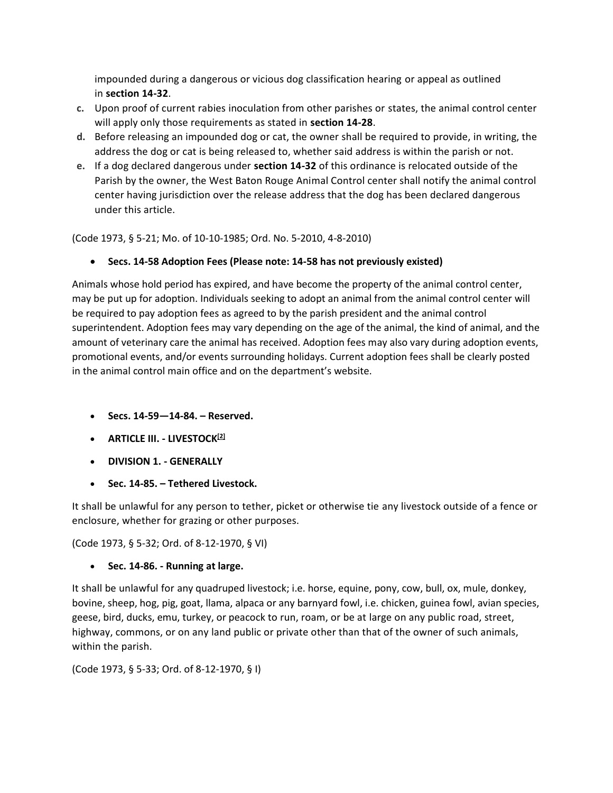impounded during a dangerous or vicious dog classification hearing or appeal as outlined in **[section 14-32](https://library.municode.com/la/west_baton_rouge_parish/codes/code_of_ordinances?nodeId=PTIICOOR_CH14ANFO_ARTIIDOCA_DIV1GE_S14-32DAVIDO)**.

- **c.** Upon proof of current rabies inoculation from other parishes or states, the animal control center will apply only those requirements as stated in **[section 14-28](https://library.municode.com/la/west_baton_rouge_parish/codes/code_of_ordinances?nodeId=PTIICOOR_CH14ANFO_ARTIIDOCA_DIV1GE_S14-28RE)**.
- **d.** Before releasing an impounded dog or cat, the owner shall be required to provide, in writing, the address the dog or cat is being released to, whether said address is within the parish or not.
- **e.** If a dog declared dangerous under **[section 14-32](https://library.municode.com/la/west_baton_rouge_parish/codes/code_of_ordinances?nodeId=PTIICOOR_CH14ANFO_ARTIIDOCA_DIV1GE_S14-32DAVIDO)** of this ordinance is relocated outside of the Parish by the owner, the West Baton Rouge Animal Control center shall notify the animal control center having jurisdiction over the release address that the dog has been declared dangerous under this article.

(Code 1973, § 5-21; Mo. of 10-10-1985; Ord. No. 5-2010, 4-8-2010)

**Secs. 14-58 Adoption Fees (Please note: 14-58 has not previously existed)**

Animals whose hold period has expired, and have become the property of the animal control center, may be put up for adoption. Individuals seeking to adopt an animal from the animal control center will be required to pay adoption fees as agreed to by the parish president and the animal control superintendent. Adoption fees may vary depending on the age of the animal, the kind of animal, and the amount of veterinary care the animal has received. Adoption fees may also vary during adoption events, promotional events, and/or events surrounding holidays. Current adoption fees shall be clearly posted in the animal control main office and on the department's website.

- **Secs. 14-59—14-84. – Reserved.**
- **ARTICLE III. - LIVESTOCK[\[2\]](https://library.municode.com/#fn_10)**
- **DIVISION 1. - GENERALLY**
- **Sec. 14-85. – Tethered Livestock.**

It shall be unlawful for any person to tether, picket or otherwise tie any livestock outside of a fence or enclosure, whether for grazing or other purposes.

(Code 1973, § 5-32; Ord. of 8-12-1970, § VI)

**Sec. 14-86. - Running at large.**

It shall be unlawful for any quadruped livestock; i.e. horse, equine, pony, cow, bull, ox, mule, donkey, bovine, sheep, hog, pig, goat, llama, alpaca or any barnyard fowl, i.e. chicken, guinea fowl, avian species, geese, bird, ducks, emu, turkey, or peacock to run, roam, or be at large on any public road, street, highway, commons, or on any land public or private other than that of the owner of such animals, within the parish.

(Code 1973, § 5-33; Ord. of 8-12-1970, § I)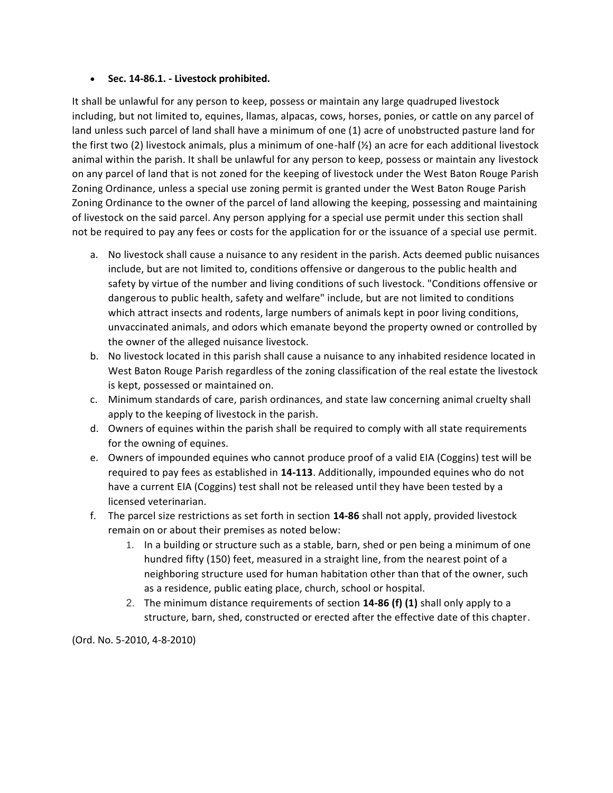### **Sec. 14-86.1. - Livestock prohibited.**

It shall be unlawful for any person to keep, possess or maintain any large quadruped livestock including, but not limited to, equines, llamas, alpacas, cows, horses, ponies, or cattle on any parcel of land unless such parcel of land shall have a minimum of one (1) acre of unobstructed pasture land for the first two (2) livestock animals, plus a minimum of one-half (½) an acre for each additional livestock animal within the parish. It shall be unlawful for any person to keep, possess or maintain any livestock on any parcel of land that is not zoned for the keeping of livestock under the West Baton Rouge Parish Zoning Ordinance, unless a special use zoning permit is granted under the West Baton Rouge Parish Zoning Ordinance to the owner of the parcel of land allowing the keeping, possessing and maintaining of livestock on the said parcel. Any person applying for a special use permit under this section shall not be required to pay any fees or costs for the application for or the issuance of a special use permit.

- a. No livestock shall cause a nuisance to any resident in the parish. Acts deemed public nuisances include, but are not limited to, conditions offensive or dangerous to the public health and safety by virtue of the number and living conditions of such livestock. "Conditions offensive or dangerous to public health, safety and welfare" include, but are not limited to conditions which attract insects and rodents, large numbers of animals kept in poor living conditions, unvaccinated animals, and odors which emanate beyond the property owned or controlled by the owner of the alleged nuisance livestock.
- b. No livestock located in this parish shall cause a nuisance to any inhabited residence located in West Baton Rouge Parish regardless of the zoning classification of the real estate the livestock is kept, possessed or maintained on.
- c. Minimum standards of care, parish ordinances, and state law concerning animal cruelty shall apply to the keeping of livestock in the parish.
- d. Owners of equines within the parish shall be required to comply with all state requirements for the owning of equines.
- e. Owners of impounded equines who cannot produce proof of a valid EIA (Coggins) test will be required to pay fees as established in **14-113**. Additionally, impounded equines who do not have a current EIA (Coggins) test shall not be released until they have been tested by a licensed veterinarian.
- f. The parcel size restrictions as set forth in section **14-86** shall not apply, provided livestock remain on or about their premises as noted below:
	- 1. In a building or structure such as a stable, barn, shed or pen being a minimum of one hundred fifty (150) feet, measured in a straight line, from the nearest point of a neighboring structure used for human habitation other than that of the owner, such as a residence, public eating place, church, school or hospital.
	- 2. The minimum distance requirements of section **14-86 (f) (1)** shall only apply to a structure, barn, shed, constructed or erected after the effective date of this chapter.

(Ord. No. 5-2010, 4-8-2010)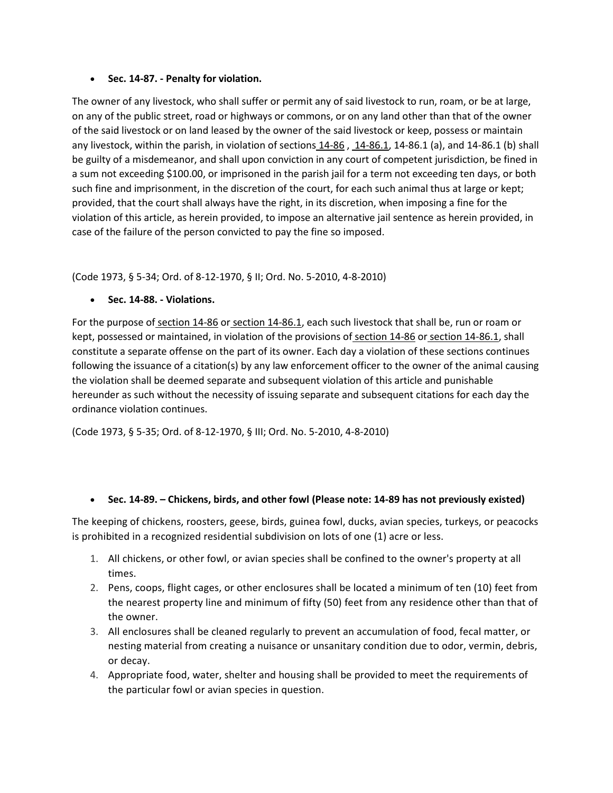### **Sec. 14-87. - Penalty for violation.**

The owner of any livestock, who shall suffer or permit any of said livestock to run, roam, or be at large, on any of the public street, road or highways or commons, or on any land other than that of the owner of the said livestock or on land leased by the owner of the said livestock or keep, possess or maintain any livestock, within the parish, in violation of sections  $14-86$ ,  $14-86.1$ ,  $14-86.1$  (a), and  $14-86.1$  (b) shall be guilty of a misdemeanor, and shall upon conviction in any court of competent jurisdiction, be fined in a sum not exceeding \$100.00, or imprisoned in the parish jail for a term not exceeding ten days, or both such fine and imprisonment, in the discretion of the court, for each such animal thus at large or kept; provided, that the court shall always have the right, in its discretion, when imposing a fine for the violation of this article, as herein provided, to impose an alternative jail sentence as herein provided, in case of the failure of the person convicted to pay the fine so imposed.

(Code 1973, § 5-34; Ord. of 8-12-1970, § II; Ord. No. 5-2010, 4-8-2010)

**Sec. 14-88. - Violations.**

For the purpose of [section 14-86](https://library.municode.com/la/west_baton_rouge_parish/codes/code_of_ordinances?nodeId=PTIICOOR_CH14ANFO_ARTIIILI_DIV1GE_S14-86RULA) or [section 14-86.1,](https://library.municode.com/la/west_baton_rouge_parish/codes/code_of_ordinances?nodeId=PTIICOOR_CH14ANFO_ARTIIILI_DIV1GE_S14-86.1LIPR) each such livestock that shall be, run or roam or kept, possessed or maintained, in violation of the provisions of [section 14-86](https://library.municode.com/la/west_baton_rouge_parish/codes/code_of_ordinances?nodeId=PTIICOOR_CH14ANFO_ARTIIILI_DIV1GE_S14-86RULA) or [section 14-86.1,](https://library.municode.com/la/west_baton_rouge_parish/codes/code_of_ordinances?nodeId=PTIICOOR_CH14ANFO_ARTIIILI_DIV1GE_S14-86.1LIPR) shall constitute a separate offense on the part of its owner. Each day a violation of these sections continues following the issuance of a citation(s) by any law enforcement officer to the owner of the animal causing the violation shall be deemed separate and subsequent violation of this article and punishable hereunder as such without the necessity of issuing separate and subsequent citations for each day the ordinance violation continues.

(Code 1973, § 5-35; Ord. of 8-12-1970, § III; Ord. No. 5-2010, 4-8-2010)

## **Sec. 14-89. – Chickens, birds, and other fowl (Please note: 14-89 has not previously existed)**

The keeping of chickens, roosters, geese, birds, guinea fowl, ducks, avian species, turkeys, or peacocks is prohibited in a recognized residential subdivision on lots of one (1) acre or less.

- 1. All chickens, or other fowl, or avian species shall be confined to the owner's property at all times.
- 2. Pens, coops, flight cages, or other enclosures shall be located a minimum of ten (10) feet from the nearest property line and minimum of fifty (50) feet from any residence other than that of the owner.
- 3. All enclosures shall be cleaned regularly to prevent an accumulation of food, fecal matter, or nesting material from creating a nuisance or unsanitary condition due to odor, vermin, debris, or decay.
- 4. Appropriate food, water, shelter and housing shall be provided to meet the requirements of the particular fowl or avian species in question.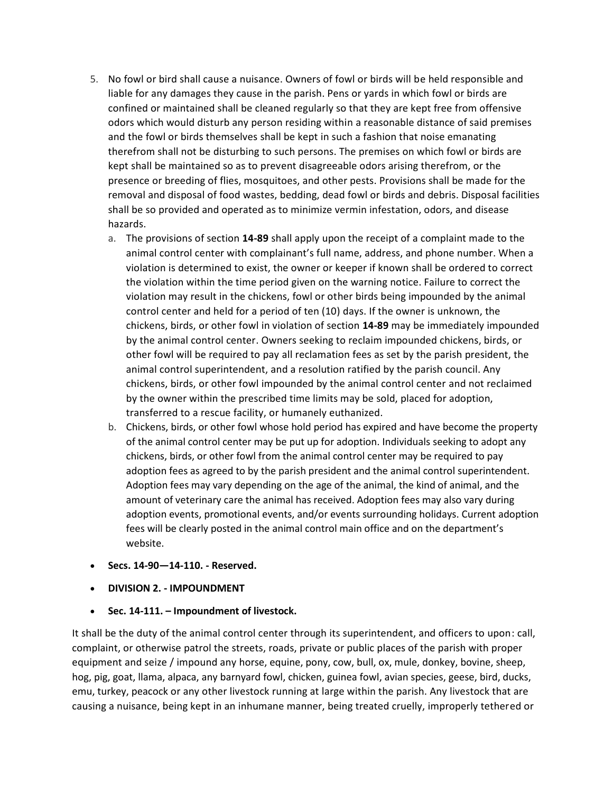- 5. No fowl or bird shall cause a nuisance. Owners of fowl or birds will be held responsible and liable for any damages they cause in the parish. Pens or yards in which fowl or birds are confined or maintained shall be cleaned regularly so that they are kept free from offensive odors which would disturb any person residing within a reasonable distance of said premises and the fowl or birds themselves shall be kept in such a fashion that noise emanating therefrom shall not be disturbing to such persons. The premises on which fowl or birds are kept shall be maintained so as to prevent disagreeable odors arising therefrom, or the presence or breeding of flies, mosquitoes, and other pests. Provisions shall be made for the removal and disposal of food wastes, bedding, dead fowl or birds and debris. Disposal facilities shall be so provided and operated as to minimize vermin infestation, odors, and disease hazards.
	- a. The provisions of section **14-89** shall apply upon the receipt of a complaint made to the animal control center with complainant's full name, address, and phone number. When a violation is determined to exist, the owner or keeper if known shall be ordered to correct the violation within the time period given on the warning notice. Failure to correct the violation may result in the chickens, fowl or other birds being impounded by the animal control center and held for a period of ten (10) days. If the owner is unknown, the chickens, birds, or other fowl in violation of section **14-89** may be immediately impounded by the animal control center. Owners seeking to reclaim impounded chickens, birds, or other fowl will be required to pay all reclamation fees as set by the parish president, the animal control superintendent, and a resolution ratified by the parish council. Any chickens, birds, or other fowl impounded by the animal control center and not reclaimed by the owner within the prescribed time limits may be sold, placed for adoption, transferred to a rescue facility, or humanely euthanized.
	- b. Chickens, birds, or other fowl whose hold period has expired and have become the property of the animal control center may be put up for adoption. Individuals seeking to adopt any chickens, birds, or other fowl from the animal control center may be required to pay adoption fees as agreed to by the parish president and the animal control superintendent. Adoption fees may vary depending on the age of the animal, the kind of animal, and the amount of veterinary care the animal has received. Adoption fees may also vary during adoption events, promotional events, and/or events surrounding holidays. Current adoption fees will be clearly posted in the animal control main office and on the department's website.
- **Secs. 14-90—14-110. - Reserved.**
- **DIVISION 2. - IMPOUNDMENT**
- **Sec. 14-111. – Impoundment of livestock.**

It shall be the duty of the animal control center through its superintendent, and officers to upon: call, complaint, or otherwise patrol the streets, roads, private or public places of the parish with proper equipment and seize / impound any horse, equine, pony, cow, bull, ox, mule, donkey, bovine, sheep, hog, pig, goat, llama, alpaca, any barnyard fowl, chicken, guinea fowl, avian species, geese, bird, ducks, emu, turkey, peacock or any other livestock running at large within the parish. Any livestock that are causing a nuisance, being kept in an inhumane manner, being treated cruelly, improperly tethered or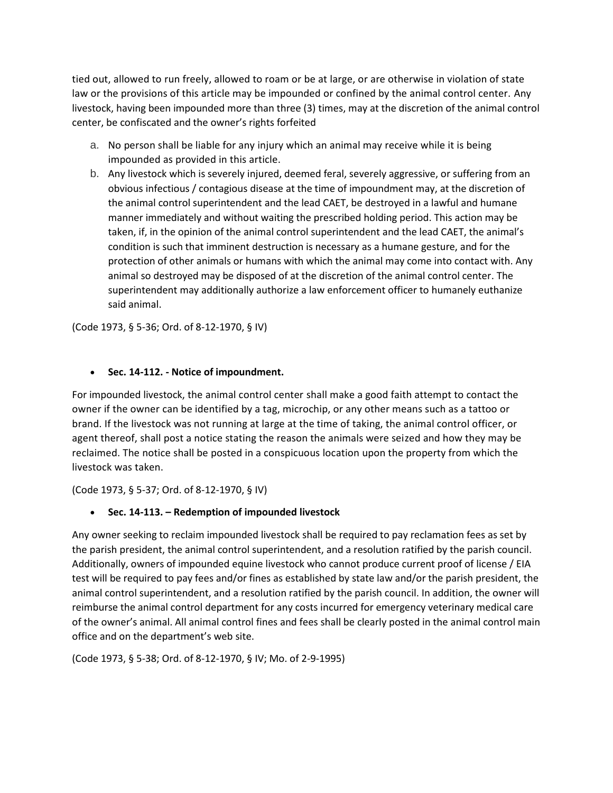tied out, allowed to run freely, allowed to roam or be at large, or are otherwise in violation of state law or the provisions of this article may be impounded or confined by the animal control center. Any livestock, having been impounded more than three (3) times, may at the discretion of the animal control center, be confiscated and the owner's rights forfeited

- a. No person shall be liable for any injury which an animal may receive while it is being impounded as provided in this article.
- b. Any livestock which is severely injured, deemed feral, severely aggressive, or suffering from an obvious infectious / contagious disease at the time of impoundment may, at the discretion of the animal control superintendent and the lead CAET, be destroyed in a lawful and humane manner immediately and without waiting the prescribed holding period. This action may be taken, if, in the opinion of the animal control superintendent and the lead CAET, the animal's condition is such that imminent destruction is necessary as a humane gesture, and for the protection of other animals or humans with which the animal may come into contact with. Any animal so destroyed may be disposed of at the discretion of the animal control center. The superintendent may additionally authorize a law enforcement officer to humanely euthanize said animal.

(Code 1973, § 5-36; Ord. of 8-12-1970, § IV)

## **Sec. 14-112. - Notice of impoundment.**

For impounded livestock, the animal control center shall make a good faith attempt to contact the owner if the owner can be identified by a tag, microchip, or any other means such as a tattoo or brand. If the livestock was not running at large at the time of taking, the animal control officer, or agent thereof, shall post a notice stating the reason the animals were seized and how they may be reclaimed. The notice shall be posted in a conspicuous location upon the property from which the livestock was taken.

(Code 1973, § 5-37; Ord. of 8-12-1970, § IV)

# **Sec. 14-113. – Redemption of impounded livestock**

Any owner seeking to reclaim impounded livestock shall be required to pay reclamation fees as set by the parish president, the animal control superintendent, and a resolution ratified by the parish council. Additionally, owners of impounded equine livestock who cannot produce current proof of license / EIA test will be required to pay fees and/or fines as established by state law and/or the parish president, the animal control superintendent, and a resolution ratified by the parish council. In addition, the owner will reimburse the animal control department for any costs incurred for emergency veterinary medical care of the owner's animal. All animal control fines and fees shall be clearly posted in the animal control main office and on the department's web site.

(Code 1973, § 5-38; Ord. of 8-12-1970, § IV; Mo. of 2-9-1995)